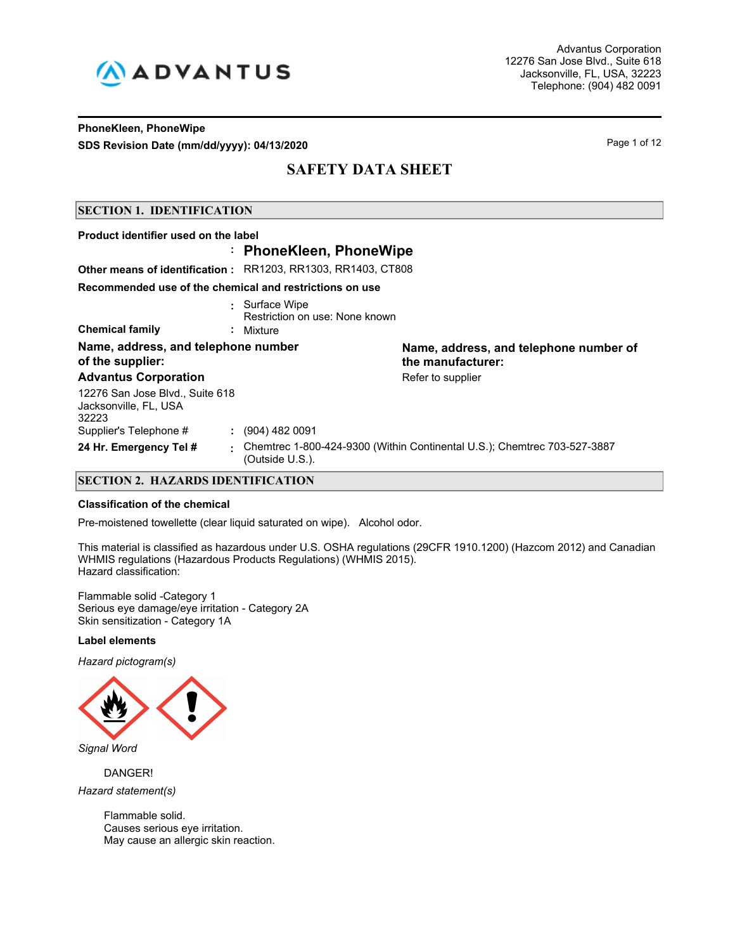

## **PhoneKleen, PhoneWipe SDS Revision Date (mm/dd/yyyy): 04/13/2020** Page 1 of 12

# **SAFETY DATA SHEET**

## **SECTION 1. IDENTIFICATION**

| Name, address, and telephone number of<br>the manufacturer:              |
|--------------------------------------------------------------------------|
| Refer to supplier                                                        |
|                                                                          |
|                                                                          |
| Chemtrec 1-800-424-9300 (Within Continental U.S.); Chemtrec 703-527-3887 |
|                                                                          |

## **SECTION 2. HAZARDS IDENTIFICATION**

#### **Classification of the chemical**

Pre-moistened towellette (clear liquid saturated on wipe). Alcohol odor.

This material is classified as hazardous under U.S. OSHA regulations (29CFR 1910.1200) (Hazcom 2012) and Canadian WHMIS regulations (Hazardous Products Regulations) (WHMIS 2015). Hazard classification:

Flammable solid -Category 1 Serious eye damage/eye irritation - Category 2A Skin sensitization - Category 1A

#### **Label elements**

*Hazard pictogram(s)*



DANGER! *Hazard statement(s)*

> Flammable solid. Causes serious eye irritation. May cause an allergic skin reaction.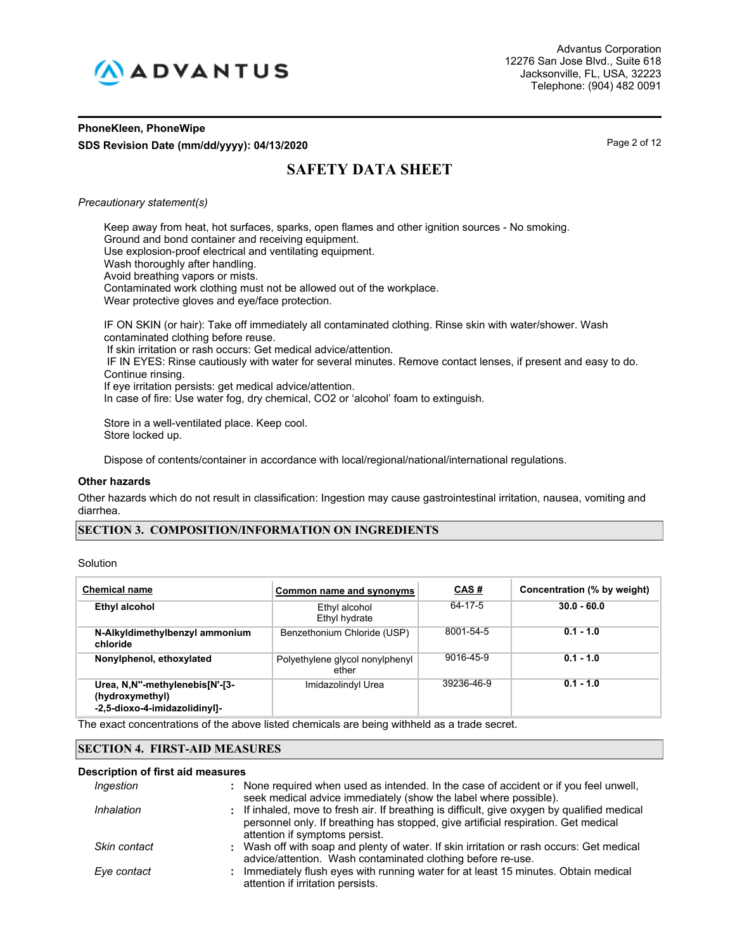

## **PhoneKleen, PhoneWipe SDS Revision Date (mm/dd/yyyy): 04/13/2020** Page 2 of 12

# **SAFETY DATA SHEET**

## *Precautionary statement(s)*

Keep away from heat, hot surfaces, sparks, open flames and other ignition sources - No smoking. Ground and bond container and receiving equipment. Use explosion-proof electrical and ventilating equipment. Wash thoroughly after handling. Avoid breathing vapors or mists. Contaminated work clothing must not be allowed out of the workplace. Wear protective gloves and eye/face protection. IF ON SKIN (or hair): Take off immediately all contaminated clothing. Rinse skin with water/shower. Wash

contaminated clothing before reuse. If skin irritation or rash occurs: Get medical advice/attention. IF IN EYES: Rinse cautiously with water for several minutes. Remove contact lenses, if present and easy to do. Continue rinsing. If eye irritation persists: get medical advice/attention. In case of fire: Use water fog, dry chemical, CO2 or 'alcohol' foam to extinguish.

Store in a well-ventilated place. Keep cool. Store locked up.

Dispose of contents/container in accordance with local/regional/national/international regulations.

#### **Other hazards**

Other hazards which do not result in classification: Ingestion may cause gastrointestinal irritation, nausea, vomiting and diarrhea.

## **SECTION 3. COMPOSITION/INFORMATION ON INGREDIENTS**

| Solution |
|----------|
|----------|

| <b>Chemical name</b>                                                               | Common name and synonyms                 | <b>CAS#</b> | Concentration (% by weight) |
|------------------------------------------------------------------------------------|------------------------------------------|-------------|-----------------------------|
| Ethyl alcohol                                                                      | Ethyl alcohol<br>Ethyl hydrate           | 64-17-5     | $30.0 - 60.0$               |
| N-Alkyldimethylbenzyl ammonium<br>chloride                                         | Benzethonium Chloride (USP)              | 8001-54-5   | $0.1 - 1.0$                 |
| Nonylphenol, ethoxylated                                                           | Polyethylene glycol nonylphenyl<br>ether | 9016-45-9   | $0.1 - 1.0$                 |
| Urea, N.N"-methylenebis[N'-[3-<br>(hydroxymethyl)<br>-2,5-dioxo-4-imidazolidinyl]- | Imidazolindyl Urea                       | 39236-46-9  | $0.1 - 1.0$                 |

The exact concentrations of the above listed chemicals are being withheld as a trade secret.

## **SECTION 4. FIRST-AID MEASURES**

#### **Description of first aid measures**

| Ingestion    | : None required when used as intended. In the case of accident or if you feel unwell,<br>seek medical advice immediately (show the label where possible).                                                            |
|--------------|----------------------------------------------------------------------------------------------------------------------------------------------------------------------------------------------------------------------|
| Inhalation   | : If inhaled, move to fresh air. If breathing is difficult, give oxygen by qualified medical<br>personnel only. If breathing has stopped, give artificial respiration. Get medical<br>attention if symptoms persist. |
| Skin contact | : Wash off with soap and plenty of water. If skin irritation or rash occurs: Get medical<br>advice/attention. Wash contaminated clothing before re-use.                                                              |
| Eye contact  | : Immediately flush eyes with running water for at least 15 minutes. Obtain medical<br>attention if irritation persists.                                                                                             |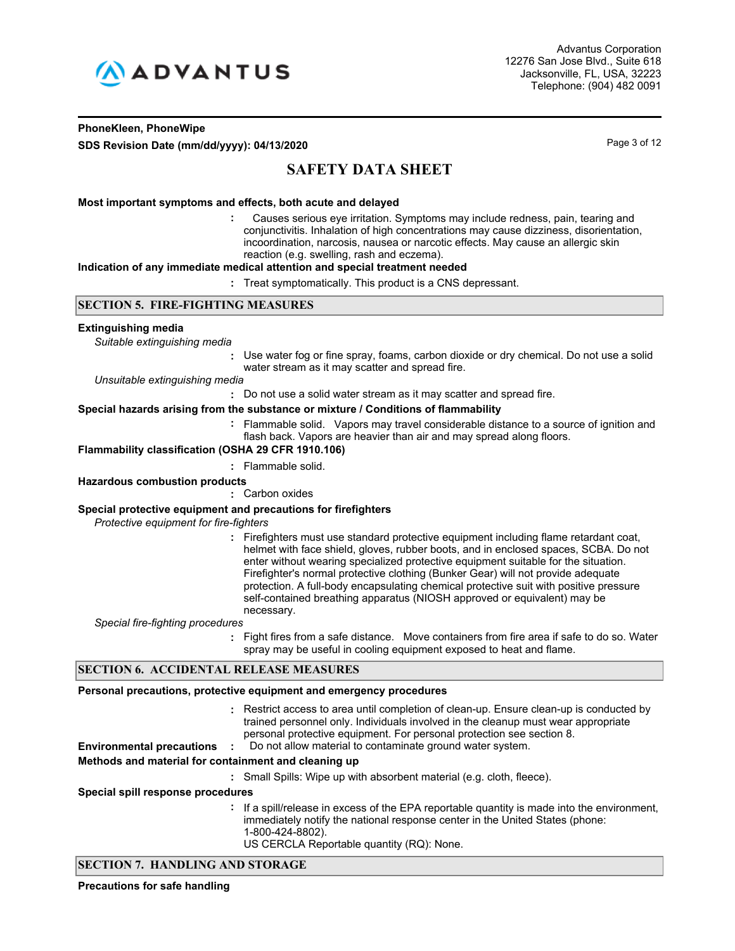

## **PhoneKleen, PhoneWipe SDS Revision Date (mm/dd/yyyy): 04/13/2020** Page 3 of 12

# **SAFETY DATA SHEET**

## **Most important symptoms and effects, both acute and delayed**

 Causes serious eye irritation. Symptoms may include redness, pain, tearing and conjunctivitis. Inhalation of high concentrations may cause dizziness, disorientation, incoordination, narcosis, nausea or narcotic effects. May cause an allergic skin reaction (e.g. swelling, rash and eczema). **:**

#### **Indication of any immediate medical attention and special treatment needed**

**:** Treat symptomatically. This product is a CNS depressant.

## **SECTION 5. FIRE-FIGHTING MEASURES**

#### **Extinguishing media**

*Suitable extinguishing media*

**:** Use water fog or fine spray, foams, carbon dioxide or dry chemical. Do not use a solid water stream as it may scatter and spread fire.

*Unsuitable extinguishing media*

**:** Do not use a solid water stream as it may scatter and spread fire.

#### **Special hazards arising from the substance or mixture / Conditions of flammability**

Flammable solid. Vapors may travel considerable distance to a source of ignition and **:** flash back. Vapors are heavier than air and may spread along floors.

**Flammability classification (OSHA 29 CFR 1910.106)**

**:** Flammable solid.

## **Hazardous combustion products**

**:** Carbon oxides

## **Special protective equipment and precautions for firefighters**

*Protective equipment for fire-fighters*

**:** Firefighters must use standard protective equipment including flame retardant coat, helmet with face shield, gloves, rubber boots, and in enclosed spaces, SCBA. Do not enter without wearing specialized protective equipment suitable for the situation. Firefighter's normal protective clothing (Bunker Gear) will not provide adequate protection. A full-body encapsulating chemical protective suit with positive pressure self-contained breathing apparatus (NIOSH approved or equivalent) may be necessary.

*Special fire-fighting procedures*

**:** Fight fires from a safe distance. Move containers from fire area if safe to do so. Water spray may be useful in cooling equipment exposed to heat and flame.

## **SECTION 6. ACCIDENTAL RELEASE MEASURES**

## **Personal precautions, protective equipment and emergency procedures**

Restrict access to area until completion of clean-up. Ensure clean-up is conducted by **:** trained personnel only. Individuals involved in the cleanup must wear appropriate personal protective equipment. For personal protection see section 8.

**Environmental precautions :** Do not allow material to contaminate ground water system.

## **Methods and material for containment and cleaning up**

**:** Small Spills: Wipe up with absorbent material (e.g. cloth, fleece).

#### **Special spill response procedures**

- **:** If a spill/release in excess of the EPA reportable quantity is made into the environment, immediately notify the national response center in the United States (phone: 1-800-424-8802).
	- US CERCLA Reportable quantity (RQ): None.

## **SECTION 7. HANDLING AND STORAGE**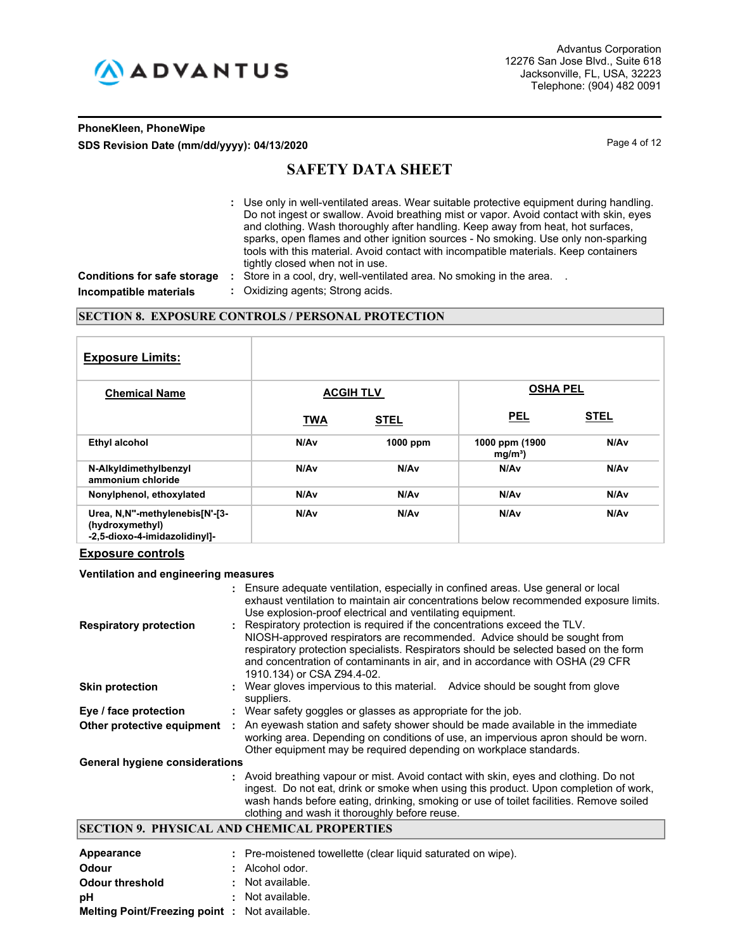

## **PhoneKleen, PhoneWipe SDS Revision Date (mm/dd/yyyy): 04/13/2020** Page 4 of 12

# **SAFETY DATA SHEET**

Use only in well-ventilated areas. Wear suitable protective equipment during handling. **:** Do not ingest or swallow. Avoid breathing mist or vapor. Avoid contact with skin, eyes and clothing. Wash thoroughly after handling. Keep away from heat, hot surfaces, sparks, open flames and other ignition sources - No smoking. Use only non-sparking tools with this material. Avoid contact with incompatible materials. Keep containers tightly closed when not in use.

**Conditions for safe storage :** Store in a cool, dry, well-ventilated area. No smoking in the area. . **Incompatible materials :** Oxidizing agents; Strong acids.

## **SECTION 8. EXPOSURE CONTROLS / PERSONAL PROTECTION**

| <b>Exposure Limits:</b>                                                            |                  |             |                                     |             |
|------------------------------------------------------------------------------------|------------------|-------------|-------------------------------------|-------------|
| <b>Chemical Name</b>                                                               | <b>ACGIH TLV</b> |             | <b>OSHA PEL</b>                     |             |
|                                                                                    | <b>TWA</b>       | <b>STEL</b> | <b>PEL</b>                          | <b>STEL</b> |
| <b>Ethyl alcohol</b>                                                               | N/Av             | 1000 ppm    | 1000 ppm (1900<br>mg/m <sup>3</sup> | N/Av        |
| N-Alkyldimethylbenzyl<br>ammonium chloride                                         | N/Av             | N/Av        | N/Av                                | N/Av        |
| Nonylphenol, ethoxylated                                                           | N/Av             | N/Av        | N/Av                                | N/Av        |
| Urea, N,N"-methylenebis[N'-[3-<br>(hydroxymethyl)<br>-2,5-dioxo-4-imidazolidinyl]- | N/Av             | N/Av        | N/Av                                | N/Av        |

## **Exposure controls**

#### **Ventilation and engineering measures**

| <b>Respiratory protection</b>                 | : Ensure adequate ventilation, especially in confined areas. Use general or local<br>exhaust ventilation to maintain air concentrations below recommended exposure limits.<br>Use explosion-proof electrical and ventilating equipment.<br>: Respiratory protection is required if the concentrations exceed the TLV.<br>NIOSH-approved respirators are recommended. Advice should be sought from<br>respiratory protection specialists. Respirators should be selected based on the form<br>and concentration of contaminants in air, and in accordance with OSHA (29 CFR)<br>1910.134) or CSA Z94.4-02. |  |  |  |
|-----------------------------------------------|-----------------------------------------------------------------------------------------------------------------------------------------------------------------------------------------------------------------------------------------------------------------------------------------------------------------------------------------------------------------------------------------------------------------------------------------------------------------------------------------------------------------------------------------------------------------------------------------------------------|--|--|--|
| <b>Skin protection</b>                        | : Wear gloves impervious to this material. Advice should be sought from glove<br>suppliers.                                                                                                                                                                                                                                                                                                                                                                                                                                                                                                               |  |  |  |
| Eye / face protection                         | : Wear safety goggles or glasses as appropriate for the job.                                                                                                                                                                                                                                                                                                                                                                                                                                                                                                                                              |  |  |  |
| Other protective equipment                    | : An eyewash station and safety shower should be made available in the immediate<br>working area. Depending on conditions of use, an impervious apron should be worn.<br>Other equipment may be required depending on workplace standards.                                                                                                                                                                                                                                                                                                                                                                |  |  |  |
| <b>General hygiene considerations</b>         |                                                                                                                                                                                                                                                                                                                                                                                                                                                                                                                                                                                                           |  |  |  |
|                                               | : Avoid breathing vapour or mist. Avoid contact with skin, eyes and clothing. Do not<br>ingest. Do not eat, drink or smoke when using this product. Upon completion of work,<br>wash hands before eating, drinking, smoking or use of toilet facilities. Remove soiled<br>clothing and wash it thoroughly before reuse.                                                                                                                                                                                                                                                                                   |  |  |  |
|                                               | <b>SECTION 9. PHYSICAL AND CHEMICAL PROPERTIES</b>                                                                                                                                                                                                                                                                                                                                                                                                                                                                                                                                                        |  |  |  |
| Appearance                                    | : Pre-moistened towellette (clear liquid saturated on wipe).                                                                                                                                                                                                                                                                                                                                                                                                                                                                                                                                              |  |  |  |
| Odour                                         | Alcohol odor.                                                                                                                                                                                                                                                                                                                                                                                                                                                                                                                                                                                             |  |  |  |
| <b>Odour threshold</b>                        | : Not available.                                                                                                                                                                                                                                                                                                                                                                                                                                                                                                                                                                                          |  |  |  |
| рH                                            | : Not available.                                                                                                                                                                                                                                                                                                                                                                                                                                                                                                                                                                                          |  |  |  |
| Melting Point/Freezing point : Not available. |                                                                                                                                                                                                                                                                                                                                                                                                                                                                                                                                                                                                           |  |  |  |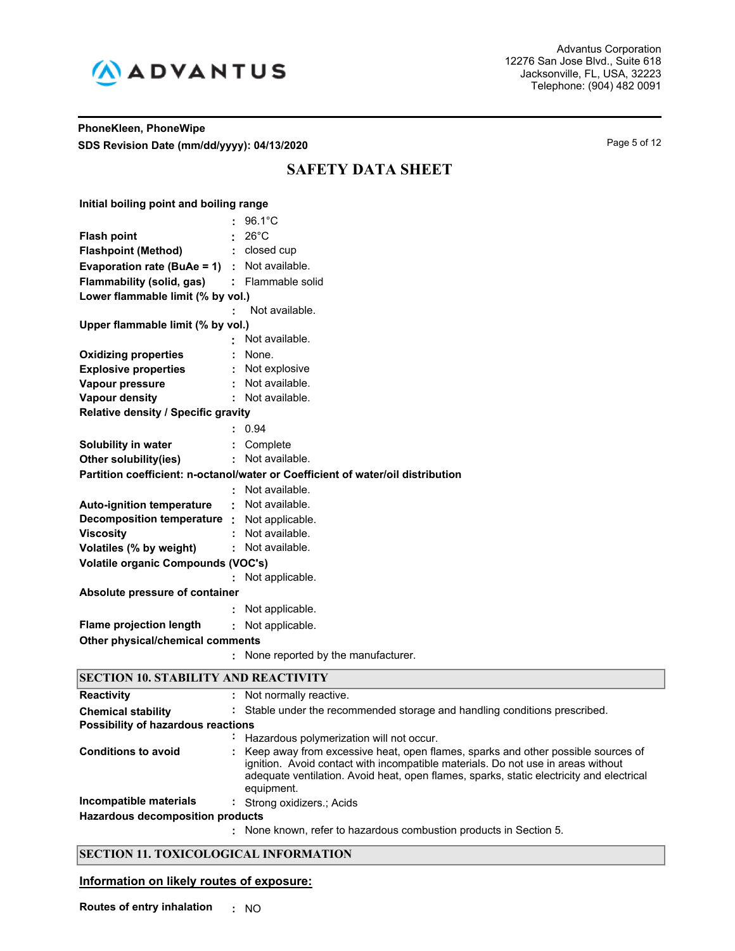

## **PhoneKleen, PhoneWipe SDS Revision Date (mm/dd/yyyy): 04/13/2020** Page 5 of 12

# **SAFETY DATA SHEET**

| Initial boiling point and boiling range         |                                                                                 |  |  |  |  |
|-------------------------------------------------|---------------------------------------------------------------------------------|--|--|--|--|
|                                                 | $96.1^{\circ}$ C                                                                |  |  |  |  |
| <b>Flash point</b>                              | $26^{\circ}$ C                                                                  |  |  |  |  |
| <b>Flashpoint (Method)</b>                      | closed cup<br>÷                                                                 |  |  |  |  |
| Evaporation rate (BuAe = $1$ ) : Not available. |                                                                                 |  |  |  |  |
| <b>Flammability (solid, gas)</b>                | : Flammable solid                                                               |  |  |  |  |
| Lower flammable limit (% by vol.)               |                                                                                 |  |  |  |  |
|                                                 | Not available.                                                                  |  |  |  |  |
| Upper flammable limit (% by vol.)               |                                                                                 |  |  |  |  |
|                                                 | Not available.                                                                  |  |  |  |  |
| <b>Oxidizing properties</b>                     | None.                                                                           |  |  |  |  |
| <b>Explosive properties</b>                     | Not explosive                                                                   |  |  |  |  |
| Vapour pressure                                 | Not available.                                                                  |  |  |  |  |
| <b>Vapour density</b>                           | Not available.                                                                  |  |  |  |  |
| Relative density / Specific gravity             |                                                                                 |  |  |  |  |
|                                                 | 0.94                                                                            |  |  |  |  |
| Solubility in water                             | Complete<br>t.                                                                  |  |  |  |  |
| Other solubility(ies)                           | : Not available.                                                                |  |  |  |  |
|                                                 | Partition coefficient: n-octanol/water or Coefficient of water/oil distribution |  |  |  |  |
|                                                 | Not available.                                                                  |  |  |  |  |
| <b>Auto-ignition temperature</b>                | Not available.<br>$\blacksquare$                                                |  |  |  |  |
| Decomposition temperature :                     | Not applicable.                                                                 |  |  |  |  |
| <b>Viscosity</b>                                | Not available.                                                                  |  |  |  |  |
| Volatiles (% by weight)                         | Not available.                                                                  |  |  |  |  |
| <b>Volatile organic Compounds (VOC's)</b>       |                                                                                 |  |  |  |  |
|                                                 | Not applicable.                                                                 |  |  |  |  |
| Absolute pressure of container                  |                                                                                 |  |  |  |  |
|                                                 | Not applicable.                                                                 |  |  |  |  |
| <b>Flame projection length</b>                  | Not applicable.<br>÷                                                            |  |  |  |  |
| Other physical/chemical comments                |                                                                                 |  |  |  |  |
|                                                 | None reported by the manufacturer.                                              |  |  |  |  |
| SECTION 10 STARILITY AND REACTIVITY             |                                                                                 |  |  |  |  |

| <u>DECITOR TO DIRBILITI ARD KERCITI I</u> |                                                                                                                                                                                                                                                                                  |  |  |  |
|-------------------------------------------|----------------------------------------------------------------------------------------------------------------------------------------------------------------------------------------------------------------------------------------------------------------------------------|--|--|--|
| <b>Reactivity</b>                         | : Not normally reactive.                                                                                                                                                                                                                                                         |  |  |  |
| <b>Chemical stability</b>                 | : Stable under the recommended storage and handling conditions prescribed.                                                                                                                                                                                                       |  |  |  |
| Possibility of hazardous reactions        |                                                                                                                                                                                                                                                                                  |  |  |  |
|                                           | Hazardous polymerization will not occur.                                                                                                                                                                                                                                         |  |  |  |
| <b>Conditions to avoid</b>                | : Keep away from excessive heat, open flames, sparks and other possible sources of<br>ignition. Avoid contact with incompatible materials. Do not use in areas without<br>adequate ventilation. Avoid heat, open flames, sparks, static electricity and electrical<br>equipment. |  |  |  |
| Incompatible materials                    | : Strong oxidizers.; Acids                                                                                                                                                                                                                                                       |  |  |  |
| <b>Hazardous decomposition products</b>   |                                                                                                                                                                                                                                                                                  |  |  |  |
|                                           | : None known, refer to hazardous combustion products in Section 5.                                                                                                                                                                                                               |  |  |  |

## **SECTION 11. TOXICOLOGICAL INFORMATION**

## **Information on likely routes of exposure:**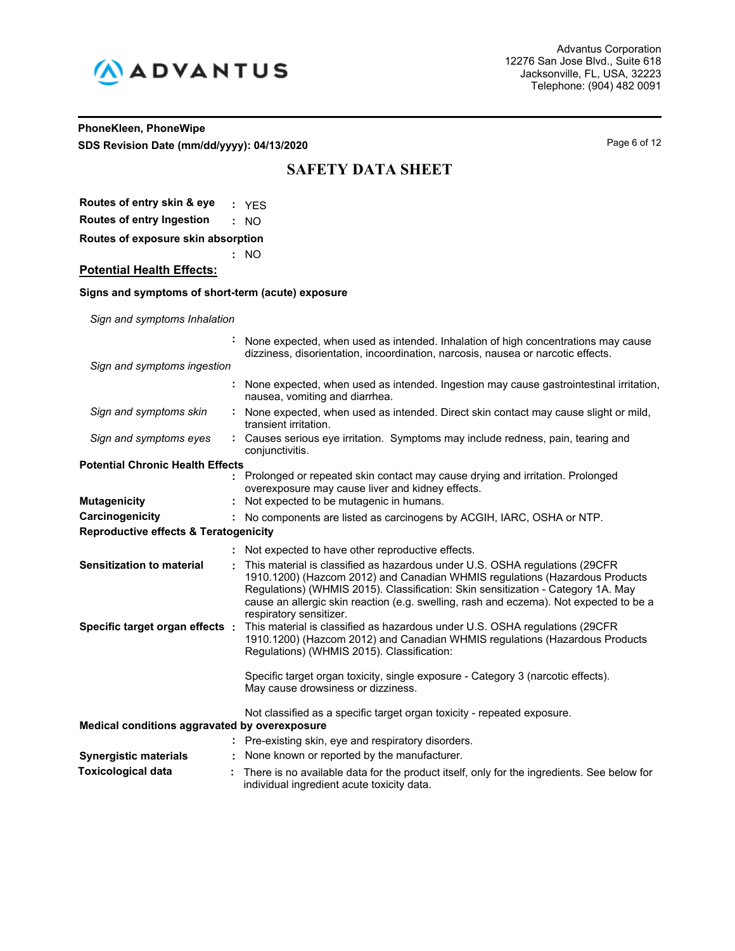

## **PhoneKleen, PhoneWipe SDS Revision Date (mm/dd/yyyy): 04/13/2020** Page 6 of 12

# **SAFETY DATA SHEET**

**Routes of entry skin & eye :** YES **Routes of entry Ingestion :** NO

**Routes of exposure skin absorption**

**Potential Health Effects:**

## **Signs and symptoms of short-term (acute) exposure**

**:** NO

*Sign and symptoms Inhalation*

|                                                  | None expected, when used as intended. Inhalation of high concentrations may cause<br>dizziness, disorientation, incoordination, narcosis, nausea or narcotic effects.                                                                                                                                                                                               |
|--------------------------------------------------|---------------------------------------------------------------------------------------------------------------------------------------------------------------------------------------------------------------------------------------------------------------------------------------------------------------------------------------------------------------------|
| Sign and symptoms ingestion                      |                                                                                                                                                                                                                                                                                                                                                                     |
|                                                  | : None expected, when used as intended. Ingestion may cause gastrointestinal irritation,<br>nausea, vomiting and diarrhea.                                                                                                                                                                                                                                          |
| Sign and symptoms skin                           | None expected, when used as intended. Direct skin contact may cause slight or mild,<br>transient irritation.                                                                                                                                                                                                                                                        |
| Sign and symptoms eyes                           | : Causes serious eye irritation. Symptoms may include redness, pain, tearing and<br>conjunctivitis.                                                                                                                                                                                                                                                                 |
| <b>Potential Chronic Health Effects</b>          |                                                                                                                                                                                                                                                                                                                                                                     |
| <b>Mutagenicity</b>                              | : Prolonged or repeated skin contact may cause drying and irritation. Prolonged<br>overexposure may cause liver and kidney effects.<br>: Not expected to be mutagenic in humans.                                                                                                                                                                                    |
|                                                  |                                                                                                                                                                                                                                                                                                                                                                     |
| Carcinogenicity                                  | : No components are listed as carcinogens by ACGIH, IARC, OSHA or NTP.                                                                                                                                                                                                                                                                                              |
| <b>Reproductive effects &amp; Teratogenicity</b> |                                                                                                                                                                                                                                                                                                                                                                     |
|                                                  | : Not expected to have other reproductive effects.                                                                                                                                                                                                                                                                                                                  |
| <b>Sensitization to material</b>                 | This material is classified as hazardous under U.S. OSHA regulations (29CFR<br>1910.1200) (Hazcom 2012) and Canadian WHMIS regulations (Hazardous Products<br>Regulations) (WHMIS 2015). Classification: Skin sensitization - Category 1A. May<br>cause an allergic skin reaction (e.g. swelling, rash and eczema). Not expected to be a<br>respiratory sensitizer. |
| Specific target organ effects :                  | This material is classified as hazardous under U.S. OSHA regulations (29CFR<br>1910.1200) (Hazcom 2012) and Canadian WHMIS regulations (Hazardous Products<br>Regulations) (WHMIS 2015). Classification:                                                                                                                                                            |
|                                                  | Specific target organ toxicity, single exposure - Category 3 (narcotic effects).<br>May cause drowsiness or dizziness.                                                                                                                                                                                                                                              |
| Medical conditions aggravated by overexposure    | Not classified as a specific target organ toxicity - repeated exposure.                                                                                                                                                                                                                                                                                             |
|                                                  |                                                                                                                                                                                                                                                                                                                                                                     |
|                                                  | : Pre-existing skin, eye and respiratory disorders.                                                                                                                                                                                                                                                                                                                 |
| <b>Synergistic materials</b>                     | None known or reported by the manufacturer.                                                                                                                                                                                                                                                                                                                         |
| <b>Toxicological data</b>                        | There is no available data for the product itself, only for the ingredients. See below for<br>individual ingredient acute toxicity data.                                                                                                                                                                                                                            |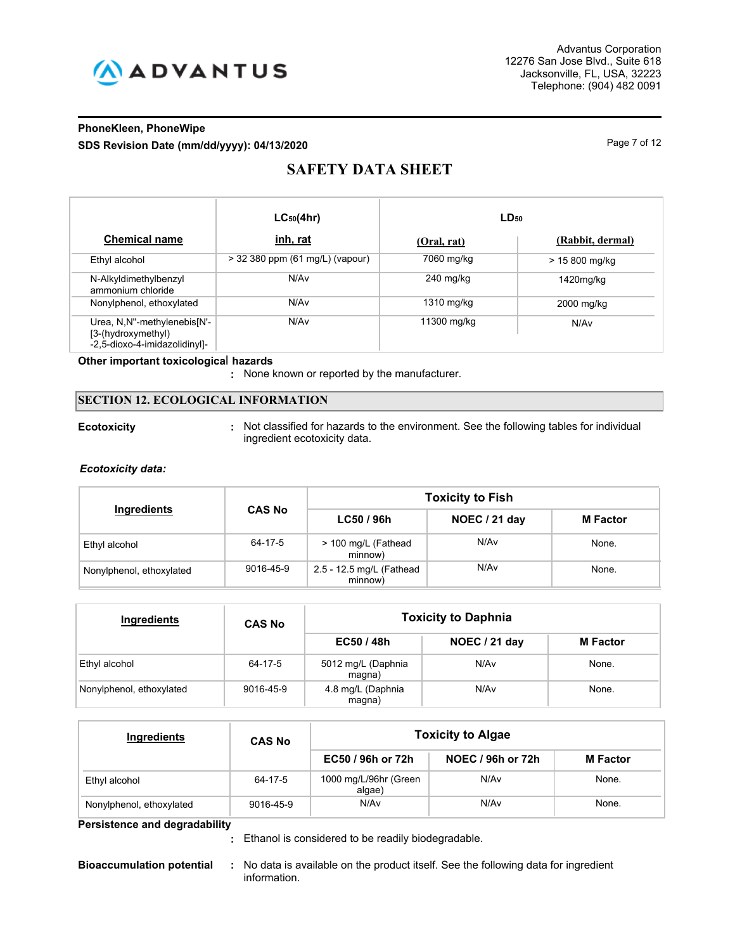

## **PhoneKleen, PhoneWipe SDS Revision Date (mm/dd/yyyy): 04/13/2020** Page 7 of 12

# **SAFETY DATA SHEET**

|                                                                                    | $LC_{50}(4hr)$                  | $LD_{50}$   |                  |
|------------------------------------------------------------------------------------|---------------------------------|-------------|------------------|
| <b>Chemical name</b>                                                               | inh, rat                        | (Oral, rat) | (Rabbit, dermal) |
| Ethyl alcohol                                                                      | > 32 380 ppm (61 mg/L) (vapour) | 7060 mg/kg  | > 15 800 mg/kg   |
| N-Alkyldimethylbenzyl<br>ammonium chloride                                         | N/A <sub>v</sub>                | $240$ mg/kg | 1420mg/kg        |
| Nonylphenol, ethoxylated                                                           | N/Av                            | 1310 mg/kg  | 2000 mg/kg       |
| Urea, N,N"-methylenebis[N'-<br>[3-(hydroxymethyl)<br>-2,5-dioxo-4-imidazolidinyl]- | N/A <sub>v</sub>                | 11300 mg/kg | N/Av             |

## **Other important toxicologica**l **hazards**

**:** None known or reported by the manufacturer.

## **SECTION 12. ECOLOGICAL INFORMATION**

**Ecotoxicity Not classified for hazards to the environment. See the following tables for individual** ingredient ecotoxicity data.

## *Ecotoxicity data:*

|                          |                              | <b>Toxicity to Fish</b>             |               |                 |
|--------------------------|------------------------------|-------------------------------------|---------------|-----------------|
|                          | Ingredients<br><b>CAS No</b> |                                     | NOEC / 21 day | <b>M</b> Factor |
| Ethyl alcohol            | 64-17-5                      | > 100 mg/L (Fathead<br>minnow)      | N/Av          | None.           |
| Nonylphenol, ethoxylated | 9016-45-9                    | 2.5 - 12.5 mg/L (Fathead<br>minnow) | N/Av          | None.           |

| Ingredients              | <b>CAS No</b> |                              | <b>Toxicity to Daphnia</b> |                 |
|--------------------------|---------------|------------------------------|----------------------------|-----------------|
|                          |               | EC50 / 48h                   | NOEC / 21 day              | <b>M</b> Factor |
| Ethyl alcohol            | 64-17-5       | 5012 mg/L (Daphnia<br>magna) | N/Av                       | None.           |
| Nonylphenol, ethoxylated | 9016-45-9     | 4.8 mg/L (Daphnia<br>magna)  | N/Av                       | None.           |

| Ingredients              | <b>CAS No</b> |                                 | <b>Toxicity to Algae</b> |                 |  |
|--------------------------|---------------|---------------------------------|--------------------------|-----------------|--|
|                          |               | EC50 / 96h or 72h               | NOEC / 96h or 72h        | <b>M</b> Factor |  |
| Ethyl alcohol            | 64-17-5       | 1000 mg/L/96hr (Green<br>algae) | N/Av                     | None.           |  |
| Nonylphenol, ethoxylated | 9016-45-9     | N/Av                            | N/Av                     | None.           |  |

**Persistence and degradability**

Ethanol is considered to be readily biodegradable. **:**

- 
- **Bioaccumulation potential :** No data is available on the product itself. See the following data for ingredient information.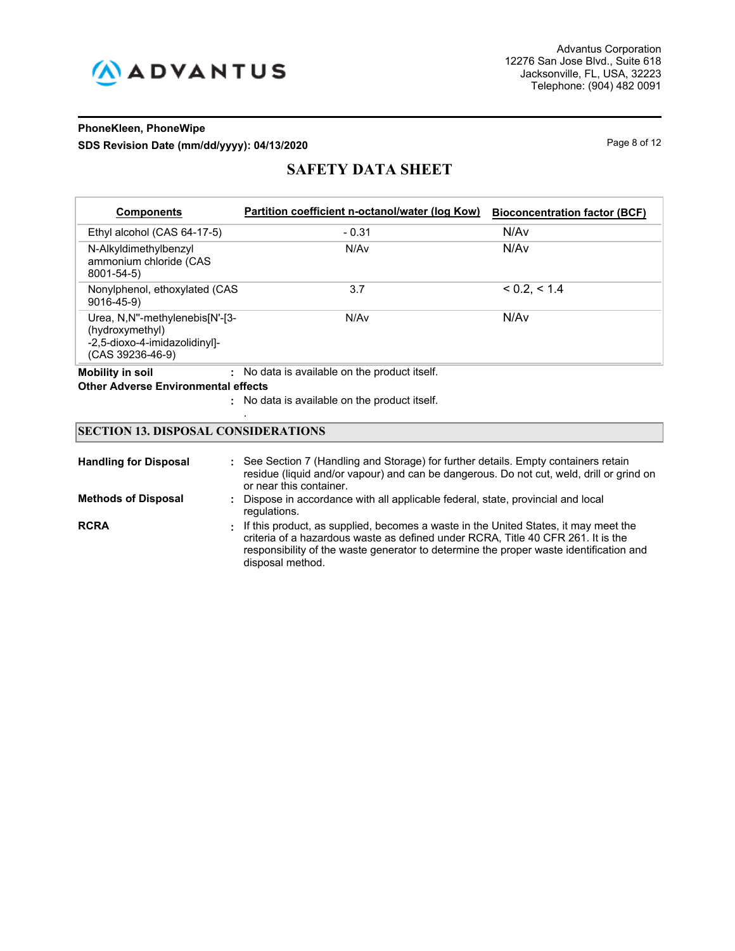

## **PhoneKleen, PhoneWipe SDS Revision Date (mm/dd/yyyy): 04/13/2020** Page 8 of 12

# **SAFETY DATA SHEET**

| <b>Components</b>                                                                                        | Partition coefficient n-octanol/water (log Kow) | <b>Bioconcentration factor (BCF)</b> |
|----------------------------------------------------------------------------------------------------------|-------------------------------------------------|--------------------------------------|
| Ethyl alcohol (CAS 64-17-5)                                                                              | $-0.31$                                         | N/Av                                 |
| N-Alkyldimethylbenzyl<br>ammonium chloride (CAS<br>8001-54-5)                                            | N/Av                                            | N/Av                                 |
| Nonylphenol, ethoxylated (CAS)<br>$9016 - 45 - 9$                                                        | 3.7                                             | < 0.2. < 1.4                         |
| Urea, N.N"-methylenebis[N'-[3-<br>(hydroxymethyl)<br>-2,5-dioxo-4-imidazolidinyl]-<br>$(CAS 39236-46-9)$ | N/Av                                            | N/Av                                 |
| <b>Mobility in soil</b>                                                                                  | No data is available on the product itself.     |                                      |

## **Other Adverse Environmental effects**

No data is available on the product itself. **:**

## **SECTION 13. DISPOSAL CONSIDERATIONS**

.

| <b>Handling for Disposal</b> | : See Section 7 (Handling and Storage) for further details. Empty containers retain<br>residue (liquid and/or vapour) and can be dangerous. Do not cut, weld, drill or grind on<br>or near this container.                                                                              |
|------------------------------|-----------------------------------------------------------------------------------------------------------------------------------------------------------------------------------------------------------------------------------------------------------------------------------------|
| <b>Methods of Disposal</b>   | : Dispose in accordance with all applicable federal, state, provincial and local<br>regulations.                                                                                                                                                                                        |
| <b>RCRA</b>                  | . If this product, as supplied, becomes a waste in the United States, it may meet the<br>criteria of a hazardous waste as defined under RCRA. Title 40 CFR 261. It is the<br>responsibility of the waste generator to determine the proper waste identification and<br>disposal method. |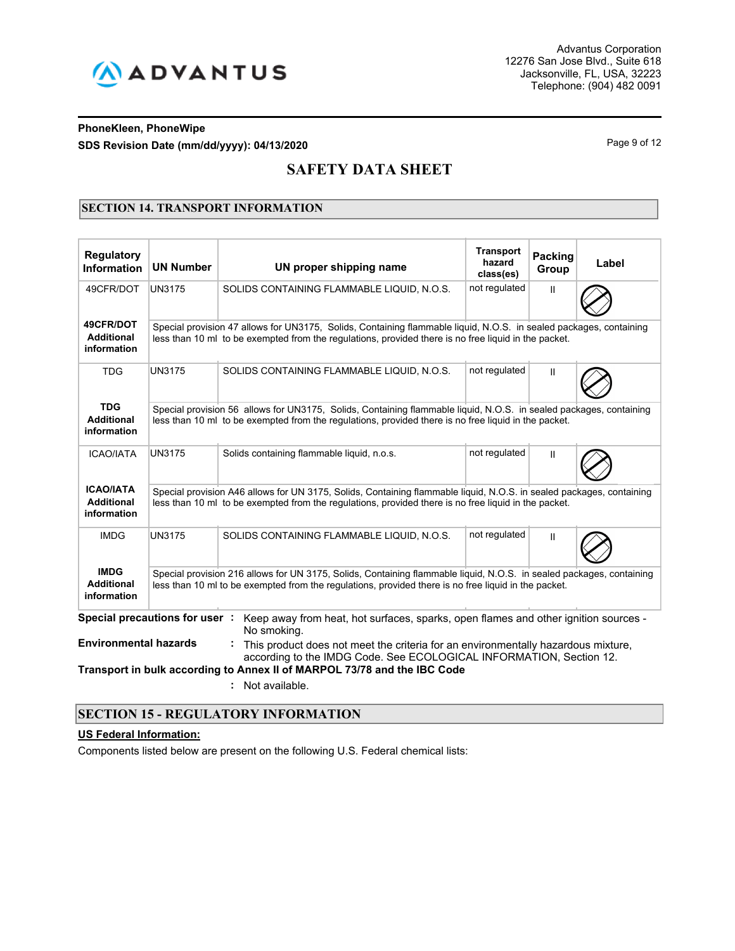

## **PhoneKleen, PhoneWipe SDS Revision Date (mm/dd/yyyy): 04/13/2020** Page 9 of 12

# **SAFETY DATA SHEET**

## **SECTION 14. TRANSPORT INFORMATION**

| <b>Regulatory</b><br>Information                     | <b>UN Number</b>              | UN proper shipping name                                                                                                                                                                                                      | <b>Transport</b><br>hazard<br>class(es) | <b>Packing</b><br>Group | Label |  |
|------------------------------------------------------|-------------------------------|------------------------------------------------------------------------------------------------------------------------------------------------------------------------------------------------------------------------------|-----------------------------------------|-------------------------|-------|--|
| 49CFR/DOT                                            | <b>UN3175</b>                 | not regulated<br>SOLIDS CONTAINING FLAMMABLE LIQUID, N.O.S.<br>Ш                                                                                                                                                             |                                         |                         |       |  |
| 49CFR/DOT<br><b>Additional</b><br>information        |                               | Special provision 47 allows for UN3175, Solids, Containing flammable liquid, N.O.S. in sealed packages, containing<br>less than 10 ml to be exempted from the regulations, provided there is no free liquid in the packet.   |                                         |                         |       |  |
| <b>TDG</b>                                           | <b>UN3175</b>                 | SOLIDS CONTAINING FLAMMABLE LIQUID, N.O.S.                                                                                                                                                                                   | not regulated                           | Ш                       |       |  |
| <b>TDG</b><br><b>Additional</b><br>information       |                               | Special provision 56 allows for UN3175, Solids, Containing flammable liquid, N.O.S. in sealed packages, containing<br>less than 10 ml to be exempted from the regulations, provided there is no free liquid in the packet.   |                                         |                         |       |  |
| <b>ICAO/IATA</b>                                     | <b>UN3175</b>                 | Solids containing flammable liquid, n.o.s.                                                                                                                                                                                   |                                         |                         |       |  |
| <b>ICAO/IATA</b><br><b>Additional</b><br>information |                               | Special provision A46 allows for UN 3175, Solids, Containing flammable liquid, N.O.S. in sealed packages, containing<br>less than 10 ml to be exempted from the regulations, provided there is no free liguid in the packet. |                                         |                         |       |  |
| <b>IMDG</b>                                          | <b>UN3175</b>                 | SOLIDS CONTAINING FLAMMABLE LIQUID, N.O.S.                                                                                                                                                                                   | not regulated                           | $\mathsf{II}$           |       |  |
| <b>IMDG</b><br><b>Additional</b><br>information      |                               | Special provision 216 allows for UN 3175, Solids, Containing flammable liguid, N.O.S. in sealed packages, containing<br>less than 10 ml to be exempted from the regulations, provided there is no free liquid in the packet. |                                         |                         |       |  |
|                                                      | Special precautions for user: | Keep away from heat, hot surfaces, sparks, open flames and other ignition sources -<br>No smoking.                                                                                                                           |                                         |                         |       |  |
| <b>Environmental hazards</b>                         |                               | This product does not meet the criteria for an environmentally hazardous mixture,<br>according to the IMDG Code. See ECOLOGICAL INFORMATION, Section 12.                                                                     |                                         |                         |       |  |
|                                                      |                               | Transport in bulk according to Annex II of MARPOL 73/78 and the IBC Code<br>Not available.                                                                                                                                   |                                         |                         |       |  |

## **SECTION 15 - REGULATORY INFORMATION**

## **US Federal Information:**

Components listed below are present on the following U.S. Federal chemical lists: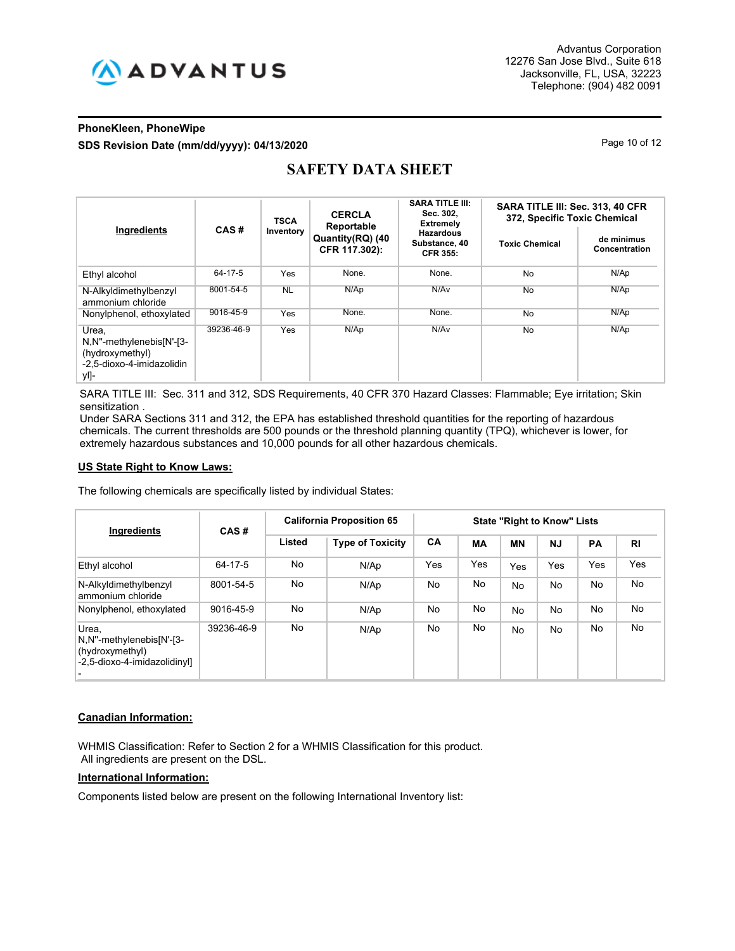

## **PhoneKleen, PhoneWipe SDS Revision Date (mm/dd/yyyy): 04/13/2020** Page 10 of 12

| Ingredients                                                                               | CAS#       | <b>TSCA</b><br>Inventory | <b>CERCLA</b><br>Reportable<br>Quantity(RQ) (40<br>CFR 117.302): | <b>SARA TITLE III:</b><br>Sec. 302,<br><b>Extremely</b> | SARA TITLE III: Sec. 313, 40 CFR<br>372, Specific Toxic Chemical |                             |  |
|-------------------------------------------------------------------------------------------|------------|--------------------------|------------------------------------------------------------------|---------------------------------------------------------|------------------------------------------------------------------|-----------------------------|--|
|                                                                                           |            |                          |                                                                  | <b>Hazardous</b><br>Substance, 40<br><b>CFR 355:</b>    | <b>Toxic Chemical</b>                                            | de minimus<br>Concentration |  |
| Ethyl alcohol                                                                             | 64-17-5    | Yes                      | None.                                                            | None.                                                   | <b>No</b>                                                        | N/Ap                        |  |
| N-Alkyldimethylbenzyl<br>ammonium chloride                                                | 8001-54-5  | <b>NL</b>                | N/Ap                                                             | N/Av                                                    | <b>No</b>                                                        | N/Ap                        |  |
| Nonylphenol, ethoxylated                                                                  | 9016-45-9  | Yes                      | None.                                                            | None.                                                   | <b>No</b>                                                        | N/Ap                        |  |
| Urea.<br>N,N"-methylenebis[N'-[3-<br>(hydroxymethyl)<br>-2.5-dioxo-4-imidazolidin<br>yl]- | 39236-46-9 | Yes                      | N/Ap                                                             | N/Av                                                    | <b>No</b>                                                        | N/Ap                        |  |

# **SAFETY DATA SHEET**

SARA TITLE III: Sec. 311 and 312, SDS Requirements, 40 CFR 370 Hazard Classes: Flammable; Eye irritation; Skin sensitization .

Under SARA Sections 311 and 312, the EPA has established threshold quantities for the reporting of hazardous chemicals. The current thresholds are 500 pounds or the threshold planning quantity (TPQ), whichever is lower, for extremely hazardous substances and 10,000 pounds for all other hazardous chemicals.

#### **US State Right to Know Laws:**

The following chemicals are specifically listed by individual States:

| <b>Ingredients</b>                                                                   | CAS#       | <b>California Proposition 65</b> | <b>State "Right to Know" Lists</b> |           |     |            |           |           |                |
|--------------------------------------------------------------------------------------|------------|----------------------------------|------------------------------------|-----------|-----|------------|-----------|-----------|----------------|
|                                                                                      |            | Listed                           | <b>Type of Toxicity</b>            | CA        | МA  | <b>MN</b>  | <b>NJ</b> | <b>PA</b> | R <sub>l</sub> |
| Ethyl alcohol                                                                        | 64-17-5    | No                               | N/Ap                               | Yes       | Yes | <b>Yes</b> | Yes       | Yes       | Yes            |
| N-Alkyldimethylbenzyl<br>ammonium chloride                                           | 8001-54-5  | No                               | N/Ap                               | No.       | No  | No         | No.       | No.       | No             |
| Nonylphenol, ethoxylated                                                             | 9016-45-9  | No                               | N/Ap                               | No.       | No. | No         | No        | No        | No             |
| Urea.<br>N,N"-methylenebis[N'-[3-<br>(hydroxymethyl)<br>-2.5-dioxo-4-imidazolidinyll | 39236-46-9 | No                               | N/Ap                               | <b>No</b> | No  | No         | No        | No.       | No             |

## **Canadian Information:**

WHMIS Classification: Refer to Section 2 for a WHMIS Classification for this product. All ingredients are present on the DSL.

## **International Information:**

Components listed below are present on the following International Inventory list: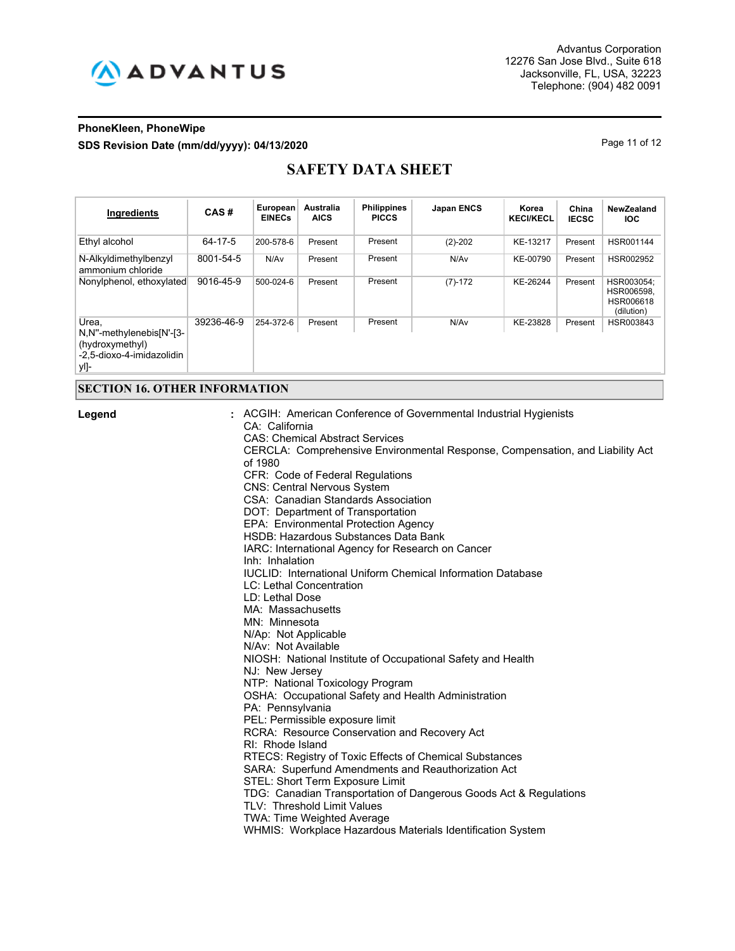

## **PhoneKleen, PhoneWipe SDS Revision Date (mm/dd/yyyy): 04/13/2020** Page 11 of 12

# **SAFETY DATA SHEET**

| Ingredients                                                                               | CAS#       | European<br><b>EINECs</b> | Australia<br><b>AICS</b> | <b>Philippines</b><br><b>PICCS</b> | <b>Japan ENCS</b> | Korea<br><b>KECI/KECL</b> | China<br><b>IECSC</b> | NewZealand<br><b>IOC</b>                            |
|-------------------------------------------------------------------------------------------|------------|---------------------------|--------------------------|------------------------------------|-------------------|---------------------------|-----------------------|-----------------------------------------------------|
| Ethyl alcohol                                                                             | 64-17-5    | 200-578-6                 | Present                  | Present                            | $(2)-202$         | KE-13217                  | Present               | HSR001144                                           |
| N-Alkyldimethylbenzyl<br>ammonium chloride                                                | 8001-54-5  | N/Av                      | Present                  | Present                            | N/Av              | KE-00790                  | Present               | HSR002952                                           |
| Nonylphenol, ethoxylated                                                                  | 9016-45-9  | 500-024-6                 | Present                  | Present                            | $(7)-172$         | KE-26244                  | Present               | HSR003054:<br>HSR006598.<br>HSR006618<br>(dilution) |
| Urea.<br>N,N"-methylenebis[N'-[3-<br>(hydroxymethyl)<br>-2.5-dioxo-4-imidazolidin<br>yl]- | 39236-46-9 | 254-372-6                 | Present                  | Present                            | N/Av              | KE-23828                  | Present               | HSR003843                                           |
|                                                                                           |            |                           |                          |                                    |                   |                           |                       |                                                     |

## **SECTION 16. OTHER INFORMATION**

**Legend :**

| : ACGIH: American Conference of Governmental Industrial Hygienists<br>CA: California<br><b>CAS: Chemical Abstract Services</b> |
|--------------------------------------------------------------------------------------------------------------------------------|
| CERCLA: Comprehensive Environmental Response, Compensation, and Liability Act<br>of 1980                                       |
| CFR: Code of Federal Regulations                                                                                               |
| <b>CNS: Central Nervous System</b>                                                                                             |
| CSA: Canadian Standards Association                                                                                            |
| DOT: Department of Transportation                                                                                              |
| EPA: Environmental Protection Agency                                                                                           |
| HSDB: Hazardous Substances Data Bank                                                                                           |
| IARC: International Agency for Research on Cancer                                                                              |
| Inh: Inhalation                                                                                                                |
| <b>IUCLID: International Uniform Chemical Information Database</b>                                                             |
| LC: Lethal Concentration                                                                                                       |
| LD: Lethal Dose                                                                                                                |
| MA: Massachusetts                                                                                                              |
| MN: Minnesota                                                                                                                  |
| N/Ap: Not Applicable                                                                                                           |
| N/Av: Not Available                                                                                                            |
| NIOSH: National Institute of Occupational Safety and Health                                                                    |
| NJ: New Jersey                                                                                                                 |
| NTP: National Toxicology Program                                                                                               |
| OSHA: Occupational Safety and Health Administration                                                                            |
| PA: Pennsylvania                                                                                                               |
| PEL: Permissible exposure limit                                                                                                |
| RCRA: Resource Conservation and Recovery Act                                                                                   |
| RI: Rhode Island                                                                                                               |
| RTECS: Registry of Toxic Effects of Chemical Substances                                                                        |
| SARA: Superfund Amendments and Reauthorization Act                                                                             |
| STEL: Short Term Exposure Limit                                                                                                |
| TDG: Canadian Transportation of Dangerous Goods Act & Regulations                                                              |
| TLV: Threshold Limit Values                                                                                                    |
| TWA: Time Weighted Average                                                                                                     |
| WHMIS: Workplace Hazardous Materials Identification System                                                                     |